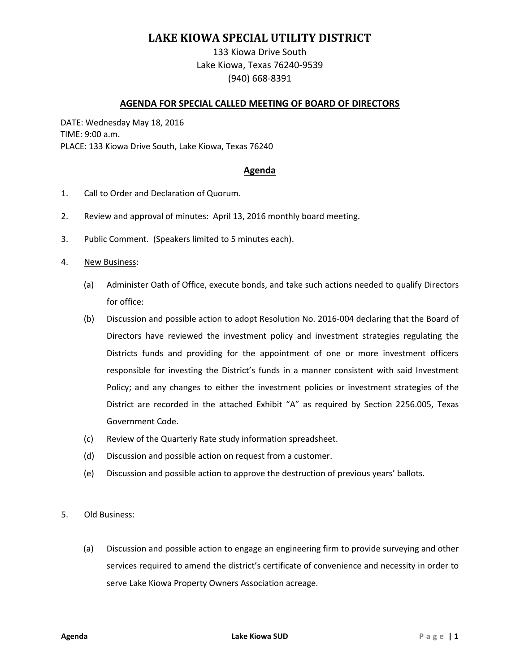# **LAKE KIOWA SPECIAL UTILITY DISTRICT**

133 Kiowa Drive South Lake Kiowa, Texas 76240-9539 (940) 668-8391

### **AGENDA FOR SPECIAL CALLED MEETING OF BOARD OF DIRECTORS**

DATE: Wednesday May 18, 2016 TIME: 9:00 a.m. PLACE: 133 Kiowa Drive South, Lake Kiowa, Texas 76240

### **Agenda**

- 1. Call to Order and Declaration of Quorum.
- 2. Review and approval of minutes: April 13, 2016 monthly board meeting.
- 3. Public Comment. (Speakers limited to 5 minutes each).
- 4. New Business:
	- (a) Administer Oath of Office, execute bonds, and take such actions needed to qualify Directors for office:
	- (b) Discussion and possible action to adopt Resolution No. 2016-004 declaring that the Board of Directors have reviewed the investment policy and investment strategies regulating the Districts funds and providing for the appointment of one or more investment officers responsible for investing the District's funds in a manner consistent with said Investment Policy; and any changes to either the investment policies or investment strategies of the District are recorded in the attached Exhibit "A" as required by Section 2256.005, Texas Government Code.
	- (c) Review of the Quarterly Rate study information spreadsheet.
	- (d) Discussion and possible action on request from a customer.
	- (e) Discussion and possible action to approve the destruction of previous years' ballots.

#### 5. Old Business:

(a) Discussion and possible action to engage an engineering firm to provide surveying and other services required to amend the district's certificate of convenience and necessity in order to serve Lake Kiowa Property Owners Association acreage.